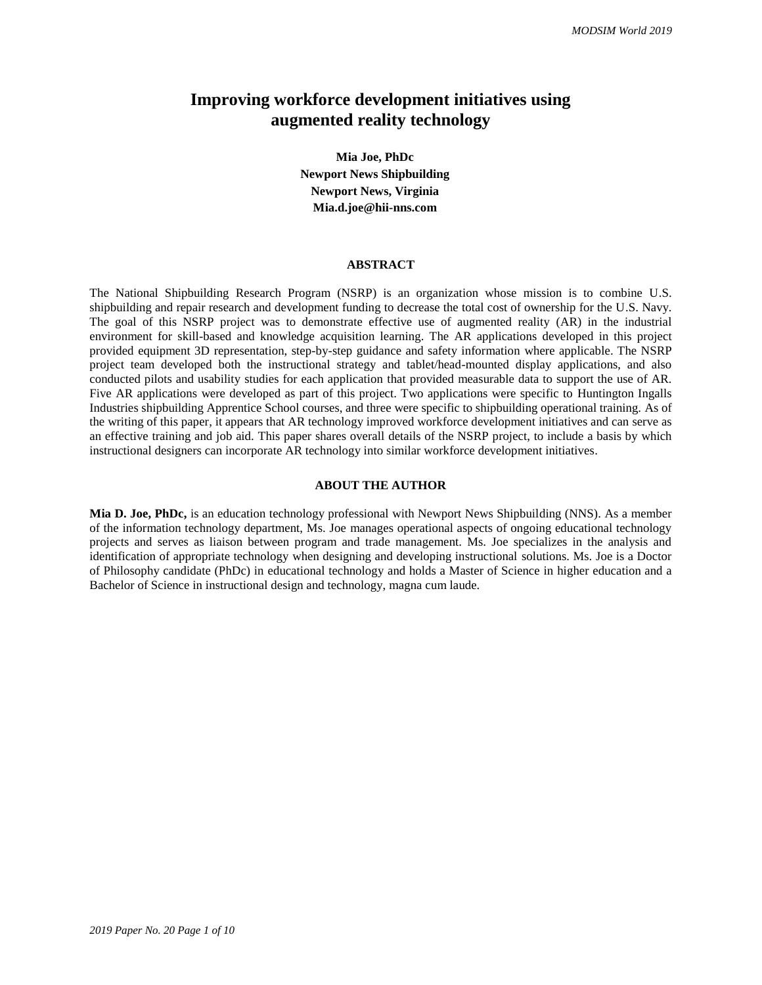# **Improving workforce development initiatives using augmented reality technology**

**Mia Joe, PhDc Newport News Shipbuilding Newport News, Virginia Mia.d.joe@hii-nns.com**

#### **ABSTRACT**

The National Shipbuilding Research Program (NSRP) is an organization whose mission is to combine U.S. shipbuilding and repair research and development funding to decrease the total cost of ownership for the U.S. Navy. The goal of this NSRP project was to demonstrate effective use of augmented reality (AR) in the industrial environment for skill-based and knowledge acquisition learning. The AR applications developed in this project provided equipment 3D representation, step-by-step guidance and safety information where applicable. The NSRP project team developed both the instructional strategy and tablet/head-mounted display applications, and also conducted pilots and usability studies for each application that provided measurable data to support the use of AR. Five AR applications were developed as part of this project. Two applications were specific to Huntington Ingalls Industries shipbuilding Apprentice School courses, and three were specific to shipbuilding operational training. As of the writing of this paper, it appears that AR technology improved workforce development initiatives and can serve as an effective training and job aid. This paper shares overall details of the NSRP project, to include a basis by which instructional designers can incorporate AR technology into similar workforce development initiatives.

#### **ABOUT THE AUTHOR**

**Mia D. Joe, PhDc,** is an education technology professional with Newport News Shipbuilding (NNS). As a member of the information technology department, Ms. Joe manages operational aspects of ongoing educational technology projects and serves as liaison between program and trade management. Ms. Joe specializes in the analysis and identification of appropriate technology when designing and developing instructional solutions. Ms. Joe is a Doctor of Philosophy candidate (PhDc) in educational technology and holds a Master of Science in higher education and a Bachelor of Science in instructional design and technology, magna cum laude.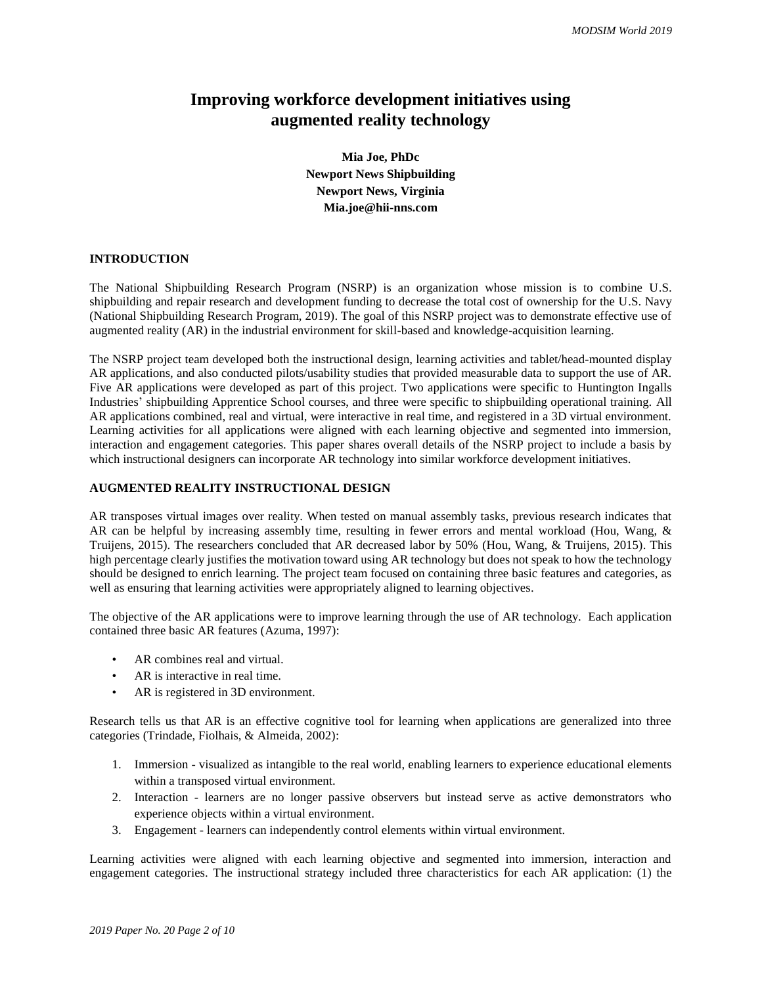# **Improving workforce development initiatives using augmented reality technology**

**Mia Joe, PhDc Newport News Shipbuilding Newport News, Virginia Mia.joe@hii-nns.com**

### **INTRODUCTION**

The National Shipbuilding Research Program (NSRP) is an organization whose mission is to combine U.S. shipbuilding and repair research and development funding to decrease the total cost of ownership for the U.S. Navy (National Shipbuilding Research Program, 2019). The goal of this NSRP project was to demonstrate effective use of augmented reality (AR) in the industrial environment for skill-based and knowledge-acquisition learning.

The NSRP project team developed both the instructional design, learning activities and tablet/head-mounted display AR applications, and also conducted pilots/usability studies that provided measurable data to support the use of AR. Five AR applications were developed as part of this project. Two applications were specific to Huntington Ingalls Industries' shipbuilding Apprentice School courses, and three were specific to shipbuilding operational training. All AR applications combined, real and virtual, were interactive in real time, and registered in a 3D virtual environment. Learning activities for all applications were aligned with each learning objective and segmented into immersion, interaction and engagement categories. This paper shares overall details of the NSRP project to include a basis by which instructional designers can incorporate AR technology into similar workforce development initiatives.

### **AUGMENTED REALITY INSTRUCTIONAL DESIGN**

AR transposes virtual images over reality. When tested on manual assembly tasks, previous research indicates that AR can be helpful by increasing assembly time, resulting in fewer errors and mental workload (Hou, Wang, & Truijens, 2015). The researchers concluded that AR decreased labor by 50% (Hou, Wang, & Truijens, 2015). This high percentage clearly justifies the motivation toward using AR technology but does not speak to how the technology should be designed to enrich learning. The project team focused on containing three basic features and categories, as well as ensuring that learning activities were appropriately aligned to learning objectives.

The objective of the AR applications were to improve learning through the use of AR technology. Each application contained three basic AR features (Azuma, 1997):

- AR combines real and virtual.
- AR is interactive in real time.
- AR is registered in 3D environment.

Research tells us that AR is an effective cognitive tool for learning when applications are generalized into three categories (Trindade, Fiolhais, & Almeida, 2002):

- 1. Immersion visualized as intangible to the real world, enabling learners to experience educational elements within a transposed virtual environment.
- 2. Interaction learners are no longer passive observers but instead serve as active demonstrators who experience objects within a virtual environment.
- 3. Engagement learners can independently control elements within virtual environment.

Learning activities were aligned with each learning objective and segmented into immersion, interaction and engagement categories. The instructional strategy included three characteristics for each AR application: (1) the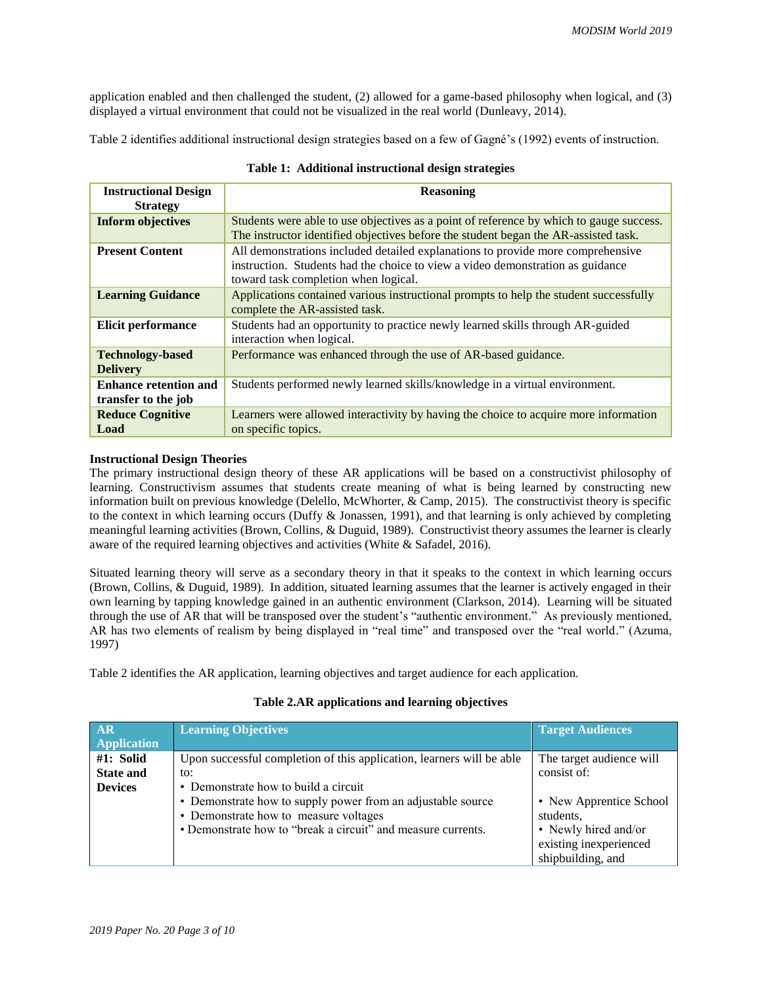application enabled and then challenged the student, (2) allowed for a game-based philosophy when logical, and (3) displayed a virtual environment that could not be visualized in the real world (Dunleavy, 2014).

Table 2 identifies additional instructional design strategies based on a few of Gagné's (1992) events of instruction.

| <b>Instructional Design</b>                | <b>Reasoning</b>                                                                                                                                                                                          |  |
|--------------------------------------------|-----------------------------------------------------------------------------------------------------------------------------------------------------------------------------------------------------------|--|
| <b>Strategy</b>                            |                                                                                                                                                                                                           |  |
| <b>Inform objectives</b>                   | Students were able to use objectives as a point of reference by which to gauge success.<br>The instructor identified objectives before the student began the AR-assisted task.                            |  |
| <b>Present Content</b>                     | All demonstrations included detailed explanations to provide more comprehensive<br>instruction. Students had the choice to view a video demonstration as guidance<br>toward task completion when logical. |  |
| <b>Learning Guidance</b>                   | Applications contained various instructional prompts to help the student successfully<br>complete the AR-assisted task.                                                                                   |  |
| <b>Elicit performance</b>                  | Students had an opportunity to practice newly learned skills through AR-guided<br>interaction when logical.                                                                                               |  |
| <b>Technology-based</b><br><b>Delivery</b> | Performance was enhanced through the use of AR-based guidance.                                                                                                                                            |  |
| <b>Enhance retention and</b>               | Students performed newly learned skills/knowledge in a virtual environment.                                                                                                                               |  |
| transfer to the job                        |                                                                                                                                                                                                           |  |
| <b>Reduce Cognitive</b>                    | Learners were allowed interactivity by having the choice to acquire more information                                                                                                                      |  |
| Load                                       | on specific topics.                                                                                                                                                                                       |  |

|  |  | Table 1: Additional instructional design strategies |  |  |
|--|--|-----------------------------------------------------|--|--|
|--|--|-----------------------------------------------------|--|--|

## **Instructional Design Theories**

The primary instructional design theory of these AR applications will be based on a constructivist philosophy of learning. Constructivism assumes that students create meaning of what is being learned by constructing new information built on previous knowledge (Delello, McWhorter, & Camp, 2015). The constructivist theory is specific to the context in which learning occurs (Duffy & Jonassen, 1991), and that learning is only achieved by completing meaningful learning activities (Brown, Collins, & Duguid, 1989). Constructivist theory assumes the learner is clearly aware of the required learning objectives and activities (White & Safadel, 2016).

Situated learning theory will serve as a secondary theory in that it speaks to the context in which learning occurs (Brown, Collins, & Duguid, 1989). In addition, situated learning assumes that the learner is actively engaged in their own learning by tapping knowledge gained in an authentic environment (Clarkson, 2014). Learning will be situated through the use of AR that will be transposed over the student's "authentic environment." As previously mentioned, AR has two elements of realism by being displayed in "real time" and transposed over the "real world." (Azuma, 1997)

Table 2 identifies the AR application, learning objectives and target audience for each application.

## **Table 2.AR applications and learning objectives**

| <b>AR</b>          | <b>Learning Objectives</b>                                            | <b>Target Audiences</b>  |
|--------------------|-----------------------------------------------------------------------|--------------------------|
| <b>Application</b> |                                                                       |                          |
| #1: Solid          | Upon successful completion of this application, learners will be able | The target audience will |
| <b>State and</b>   | to:                                                                   | consist of:              |
| <b>Devices</b>     | • Demonstrate how to build a circuit                                  |                          |
|                    | • Demonstrate how to supply power from an adjustable source           | • New Apprentice School  |
|                    | • Demonstrate how to measure voltages                                 | students,                |
|                    | • Demonstrate how to "break a circuit" and measure currents.          | • Newly hired and/or     |
|                    |                                                                       | existing inexperienced   |
|                    |                                                                       | shipbuilding, and        |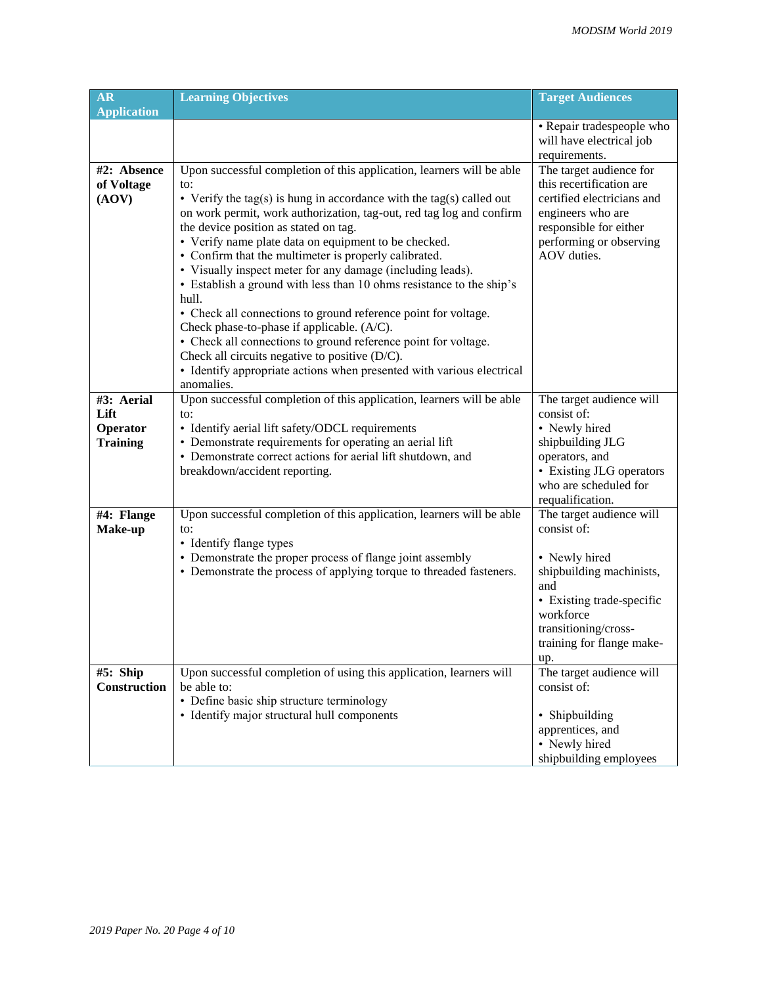| <b>AR</b><br><b>Application</b>                   | <b>Learning Objectives</b>                                                                                                                                                                                                                                                                                                                                                                                                                                                                                                                                                                                                                                                                                                                                                                                                                                       | <b>Target Audiences</b>                                                                                                                                                                           |
|---------------------------------------------------|------------------------------------------------------------------------------------------------------------------------------------------------------------------------------------------------------------------------------------------------------------------------------------------------------------------------------------------------------------------------------------------------------------------------------------------------------------------------------------------------------------------------------------------------------------------------------------------------------------------------------------------------------------------------------------------------------------------------------------------------------------------------------------------------------------------------------------------------------------------|---------------------------------------------------------------------------------------------------------------------------------------------------------------------------------------------------|
|                                                   |                                                                                                                                                                                                                                                                                                                                                                                                                                                                                                                                                                                                                                                                                                                                                                                                                                                                  | • Repair tradespeople who<br>will have electrical job<br>requirements.                                                                                                                            |
| #2: Absence<br>of Voltage<br>(AOV)                | Upon successful completion of this application, learners will be able<br>to:<br>• Verify the tag(s) is hung in accordance with the tag(s) called out<br>on work permit, work authorization, tag-out, red tag log and confirm<br>the device position as stated on tag.<br>• Verify name plate data on equipment to be checked.<br>• Confirm that the multimeter is properly calibrated.<br>• Visually inspect meter for any damage (including leads).<br>• Establish a ground with less than 10 ohms resistance to the ship's<br>hull.<br>• Check all connections to ground reference point for voltage.<br>Check phase-to-phase if applicable. (A/C).<br>• Check all connections to ground reference point for voltage.<br>Check all circuits negative to positive (D/C).<br>• Identify appropriate actions when presented with various electrical<br>anomalies. | The target audience for<br>this recertification are<br>certified electricians and<br>engineers who are<br>responsible for either<br>performing or observing<br>AOV duties.                        |
| #3: Aerial<br>Lift<br>Operator<br><b>Training</b> | Upon successful completion of this application, learners will be able<br>to:<br>• Identify aerial lift safety/ODCL requirements<br>• Demonstrate requirements for operating an aerial lift<br>• Demonstrate correct actions for aerial lift shutdown, and<br>breakdown/accident reporting.                                                                                                                                                                                                                                                                                                                                                                                                                                                                                                                                                                       | The target audience will<br>consist of:<br>• Newly hired<br>shipbuilding JLG<br>operators, and<br>• Existing JLG operators<br>who are scheduled for<br>requalification.                           |
| #4: Flange<br>Make-up                             | Upon successful completion of this application, learners will be able<br>to:<br>• Identify flange types<br>• Demonstrate the proper process of flange joint assembly<br>• Demonstrate the process of applying torque to threaded fasteners.                                                                                                                                                                                                                                                                                                                                                                                                                                                                                                                                                                                                                      | The target audience will<br>consist of:<br>• Newly hired<br>shipbuilding machinists,<br>and<br>• Existing trade-specific<br>workforce<br>transitioning/cross-<br>training for flange make-<br>up. |
| #5: Ship<br>Construction                          | Upon successful completion of using this application, learners will<br>be able to:<br>• Define basic ship structure terminology<br>• Identify major structural hull components                                                                                                                                                                                                                                                                                                                                                                                                                                                                                                                                                                                                                                                                                   | The target audience will<br>consist of:<br>• Shipbuilding<br>apprentices, and<br>• Newly hired<br>shipbuilding employees                                                                          |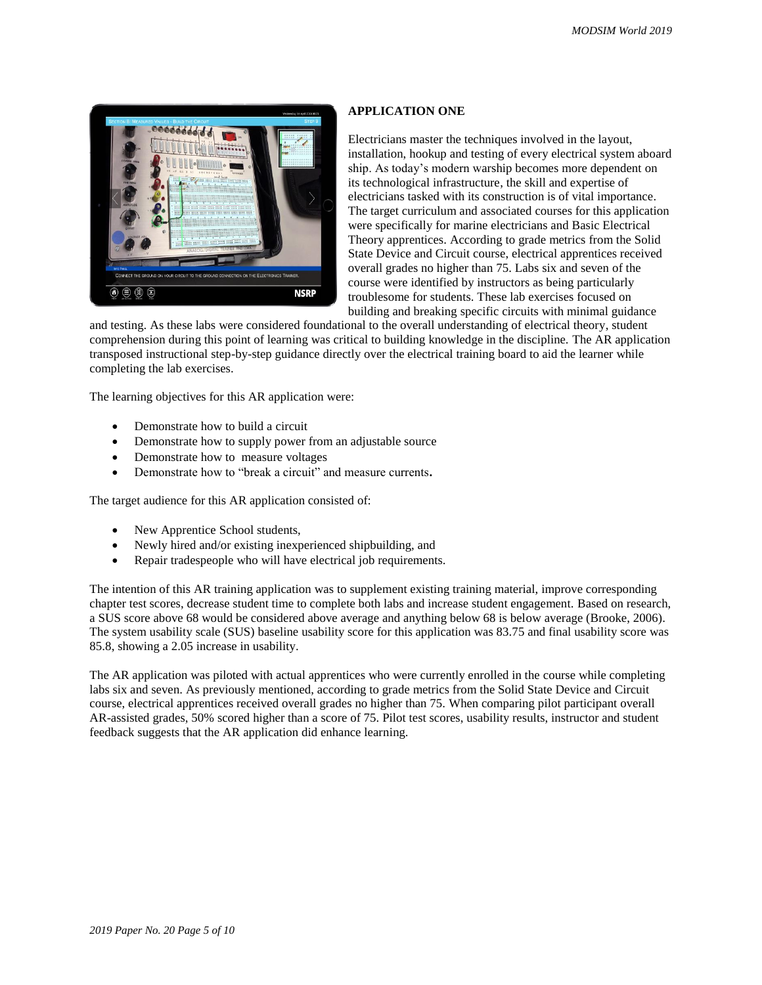

### **APPLICATION ONE**

Electricians master the techniques involved in the layout, installation, hookup and testing of every electrical system aboard ship. As today's modern warship becomes more dependent on its technological infrastructure, the skill and expertise of electricians tasked with its construction is of vital importance. The target curriculum and associated courses for this application were specifically for marine electricians and Basic Electrical Theory apprentices. According to grade metrics from the Solid State Device and Circuit course, electrical apprentices received overall grades no higher than 75. Labs six and seven of the course were identified by instructors as being particularly troublesome for students. These lab exercises focused on building and breaking specific circuits with minimal guidance

and testing. As these labs were considered foundational to the overall understanding of electrical theory, student comprehension during this point of learning was critical to building knowledge in the discipline. The AR application transposed instructional step-by-step guidance directly over the electrical training board to aid the learner while completing the lab exercises.

The learning objectives for this AR application were:

- Demonstrate how to build a circuit
- Demonstrate how to supply power from an adjustable source
- Demonstrate how to measure voltages
- Demonstrate how to "break a circuit" and measure currents**.**

The target audience for this AR application consisted of:

- New Apprentice School students,
- Newly hired and/or existing inexperienced shipbuilding, and
- Repair tradespeople who will have electrical job requirements.

The intention of this AR training application was to supplement existing training material, improve corresponding chapter test scores, decrease student time to complete both labs and increase student engagement. Based on research, a SUS score above 68 would be considered above average and anything below 68 is below average (Brooke, 2006). The system usability scale (SUS) baseline usability score for this application was 83.75 and final usability score was 85.8, showing a 2.05 increase in usability.

The AR application was piloted with actual apprentices who were currently enrolled in the course while completing labs six and seven. As previously mentioned, according to grade metrics from the Solid State Device and Circuit course, electrical apprentices received overall grades no higher than 75. When comparing pilot participant overall AR-assisted grades, 50% scored higher than a score of 75. Pilot test scores, usability results, instructor and student feedback suggests that the AR application did enhance learning.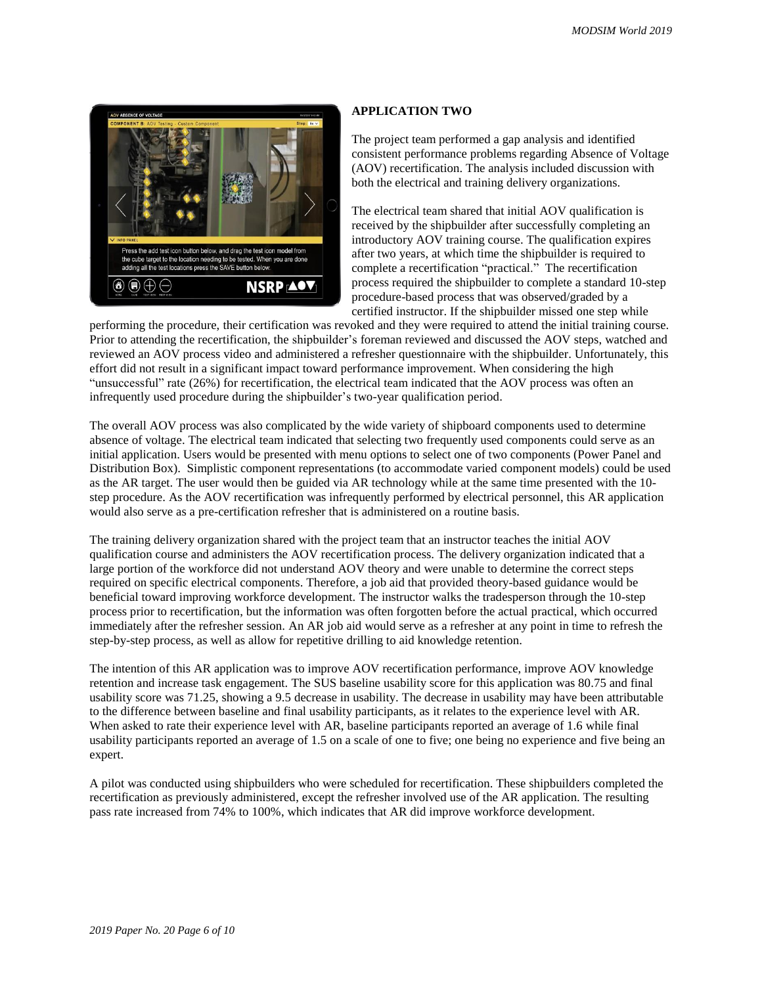

### **APPLICATION TWO**

The project team performed a gap analysis and identified consistent performance problems regarding Absence of Voltage (AOV) recertification. The analysis included discussion with both the electrical and training delivery organizations.

The electrical team shared that initial AOV qualification is received by the shipbuilder after successfully completing an introductory AOV training course. The qualification expires after two years, at which time the shipbuilder is required to complete a recertification "practical." The recertification process required the shipbuilder to complete a standard 10-step procedure-based process that was observed/graded by a certified instructor. If the shipbuilder missed one step while

performing the procedure, their certification was revoked and they were required to attend the initial training course. Prior to attending the recertification, the shipbuilder's foreman reviewed and discussed the AOV steps, watched and reviewed an AOV process video and administered a refresher questionnaire with the shipbuilder. Unfortunately, this effort did not result in a significant impact toward performance improvement. When considering the high "unsuccessful" rate (26%) for recertification, the electrical team indicated that the AOV process was often an infrequently used procedure during the shipbuilder's two-year qualification period.

The overall AOV process was also complicated by the wide variety of shipboard components used to determine absence of voltage. The electrical team indicated that selecting two frequently used components could serve as an initial application. Users would be presented with menu options to select one of two components (Power Panel and Distribution Box). Simplistic component representations (to accommodate varied component models) could be used as the AR target. The user would then be guided via AR technology while at the same time presented with the 10 step procedure. As the AOV recertification was infrequently performed by electrical personnel, this AR application would also serve as a pre-certification refresher that is administered on a routine basis.

The training delivery organization shared with the project team that an instructor teaches the initial AOV qualification course and administers the AOV recertification process. The delivery organization indicated that a large portion of the workforce did not understand AOV theory and were unable to determine the correct steps required on specific electrical components. Therefore, a job aid that provided theory-based guidance would be beneficial toward improving workforce development. The instructor walks the tradesperson through the 10-step process prior to recertification, but the information was often forgotten before the actual practical, which occurred immediately after the refresher session. An AR job aid would serve as a refresher at any point in time to refresh the step-by-step process, as well as allow for repetitive drilling to aid knowledge retention.

The intention of this AR application was to improve AOV recertification performance, improve AOV knowledge retention and increase task engagement. The SUS baseline usability score for this application was 80.75 and final usability score was 71.25, showing a 9.5 decrease in usability. The decrease in usability may have been attributable to the difference between baseline and final usability participants, as it relates to the experience level with AR. When asked to rate their experience level with AR, baseline participants reported an average of 1.6 while final usability participants reported an average of 1.5 on a scale of one to five; one being no experience and five being an expert.

A pilot was conducted using shipbuilders who were scheduled for recertification. These shipbuilders completed the recertification as previously administered, except the refresher involved use of the AR application. The resulting pass rate increased from 74% to 100%, which indicates that AR did improve workforce development.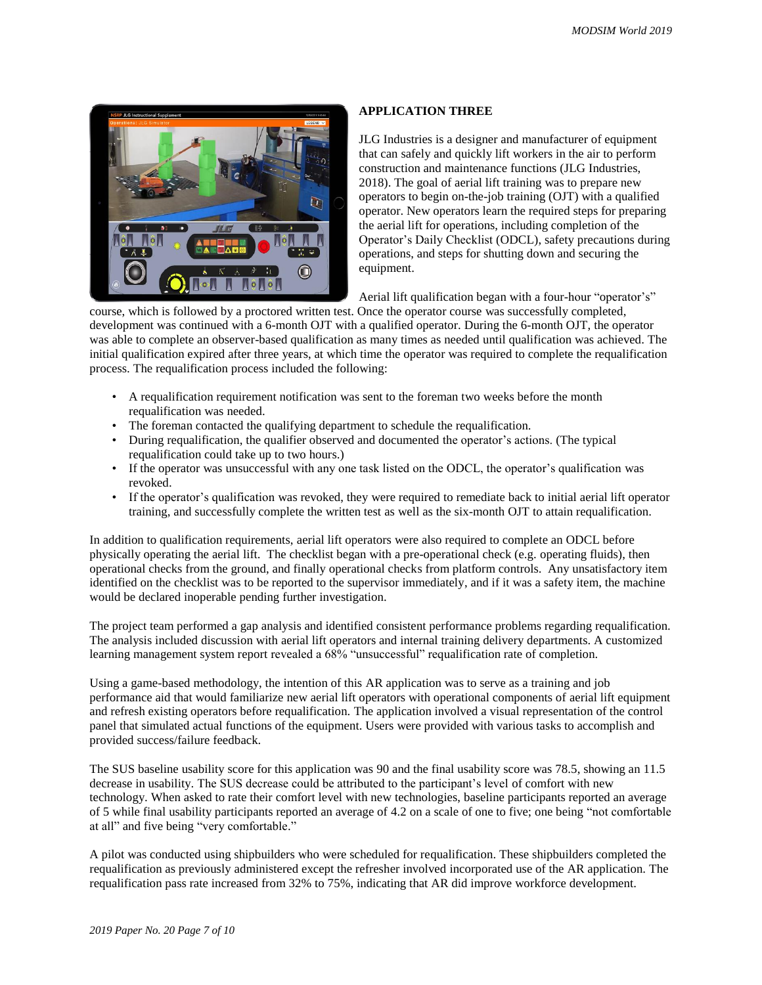

## **APPLICATION THREE**

JLG Industries is a designer and manufacturer of equipment that can safely and quickly lift workers in the air to perform construction and maintenance functions (JLG Industries, 2018). The goal of aerial lift training was to prepare new operators to begin on-the-job training (OJT) with a qualified operator. New operators learn the required steps for preparing the aerial lift for operations, including completion of the Operator's Daily Checklist (ODCL), safety precautions during operations, and steps for shutting down and securing the equipment.

Aerial lift qualification began with a four-hour "operator's"

course, which is followed by a proctored written test. Once the operator course was successfully completed, development was continued with a 6-month OJT with a qualified operator. During the 6-month OJT, the operator was able to complete an observer-based qualification as many times as needed until qualification was achieved. The initial qualification expired after three years, at which time the operator was required to complete the requalification process. The requalification process included the following:

- A requalification requirement notification was sent to the foreman two weeks before the month requalification was needed.
- The foreman contacted the qualifying department to schedule the requalification.
- During requalification, the qualifier observed and documented the operator's actions. (The typical requalification could take up to two hours.)
- If the operator was unsuccessful with any one task listed on the ODCL, the operator's qualification was revoked.
- If the operator's qualification was revoked, they were required to remediate back to initial aerial lift operator training, and successfully complete the written test as well as the six-month OJT to attain requalification.

In addition to qualification requirements, aerial lift operators were also required to complete an ODCL before physically operating the aerial lift. The checklist began with a pre-operational check (e.g. operating fluids), then operational checks from the ground, and finally operational checks from platform controls. Any unsatisfactory item identified on the checklist was to be reported to the supervisor immediately, and if it was a safety item, the machine would be declared inoperable pending further investigation.

The project team performed a gap analysis and identified consistent performance problems regarding requalification. The analysis included discussion with aerial lift operators and internal training delivery departments. A customized learning management system report revealed a 68% "unsuccessful" requalification rate of completion.

Using a game-based methodology, the intention of this AR application was to serve as a training and job performance aid that would familiarize new aerial lift operators with operational components of aerial lift equipment and refresh existing operators before requalification. The application involved a visual representation of the control panel that simulated actual functions of the equipment. Users were provided with various tasks to accomplish and provided success/failure feedback.

The SUS baseline usability score for this application was 90 and the final usability score was 78.5, showing an 11.5 decrease in usability. The SUS decrease could be attributed to the participant's level of comfort with new technology. When asked to rate their comfort level with new technologies, baseline participants reported an average of 5 while final usability participants reported an average of 4.2 on a scale of one to five; one being "not comfortable at all" and five being "very comfortable."

A pilot was conducted using shipbuilders who were scheduled for requalification. These shipbuilders completed the requalification as previously administered except the refresher involved incorporated use of the AR application. The requalification pass rate increased from 32% to 75%, indicating that AR did improve workforce development.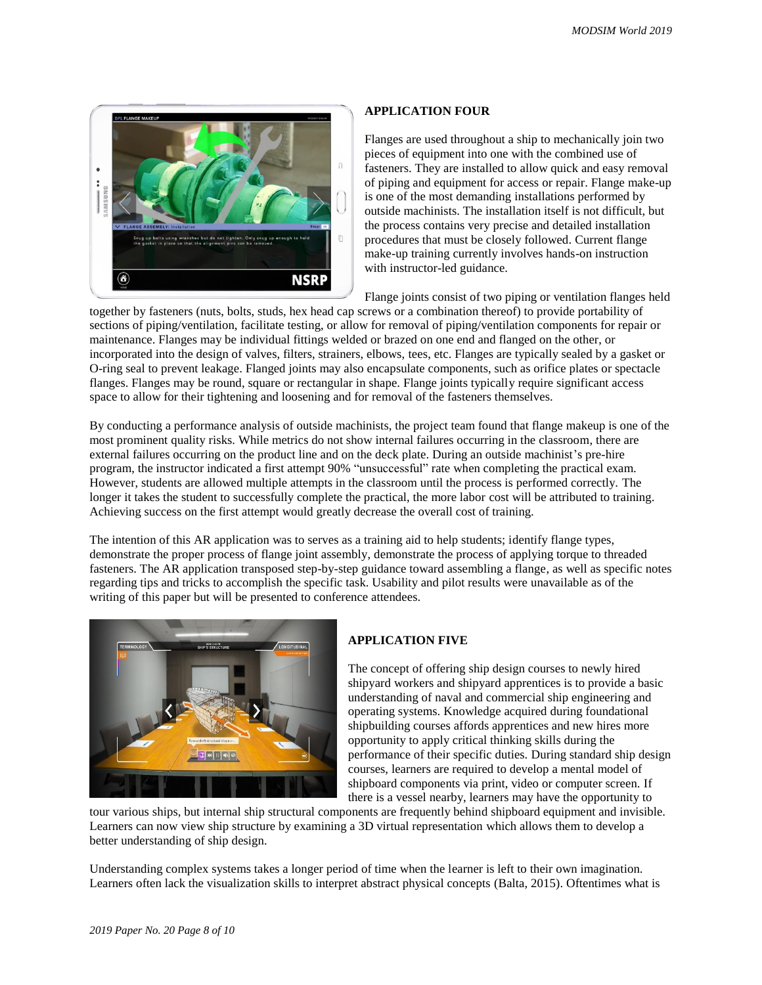

### **APPLICATION FOUR**

Flanges are used throughout a ship to mechanically join two pieces of equipment into one with the combined use of fasteners. They are installed to allow quick and easy removal of piping and equipment for access or repair. Flange make-up is one of the most demanding installations performed by outside machinists. The installation itself is not difficult, but the process contains very precise and detailed installation procedures that must be closely followed. Current flange make-up training currently involves hands-on instruction with instructor-led guidance.

Flange joints consist of two piping or ventilation flanges held

together by fasteners (nuts, bolts, studs, hex head cap screws or a combination thereof) to provide portability of sections of piping/ventilation, facilitate testing, or allow for removal of piping/ventilation components for repair or maintenance. Flanges may be individual fittings welded or brazed on one end and flanged on the other, or incorporated into the design of valves, filters, strainers, elbows, tees, etc. Flanges are typically sealed by a gasket or O-ring seal to prevent leakage. Flanged joints may also encapsulate components, such as orifice plates or spectacle flanges. Flanges may be round, square or rectangular in shape. Flange joints typically require significant access space to allow for their tightening and loosening and for removal of the fasteners themselves.

By conducting a performance analysis of outside machinists, the project team found that flange makeup is one of the most prominent quality risks. While metrics do not show internal failures occurring in the classroom, there are external failures occurring on the product line and on the deck plate. During an outside machinist's pre-hire program, the instructor indicated a first attempt 90% "unsuccessful" rate when completing the practical exam. However, students are allowed multiple attempts in the classroom until the process is performed correctly. The longer it takes the student to successfully complete the practical, the more labor cost will be attributed to training. Achieving success on the first attempt would greatly decrease the overall cost of training.

The intention of this AR application was to serves as a training aid to help students; identify flange types, demonstrate the proper process of flange joint assembly, demonstrate the process of applying torque to threaded fasteners. The AR application transposed step-by-step guidance toward assembling a flange, as well as specific notes regarding tips and tricks to accomplish the specific task. Usability and pilot results were unavailable as of the writing of this paper but will be presented to conference attendees.



## **APPLICATION FIVE**

The concept of offering ship design courses to newly hired shipyard workers and shipyard apprentices is to provide a basic understanding of naval and commercial ship engineering and operating systems. Knowledge acquired during foundational shipbuilding courses affords apprentices and new hires more opportunity to apply critical thinking skills during the performance of their specific duties. During standard ship design courses, learners are required to develop a mental model of shipboard components via print, video or computer screen. If there is a vessel nearby, learners may have the opportunity to

tour various ships, but internal ship structural components are frequently behind shipboard equipment and invisible. Learners can now view ship structure by examining a 3D virtual representation which allows them to develop a better understanding of ship design.

Understanding complex systems takes a longer period of time when the learner is left to their own imagination. Learners often lack the visualization skills to interpret abstract physical concepts (Balta, 2015). Oftentimes what is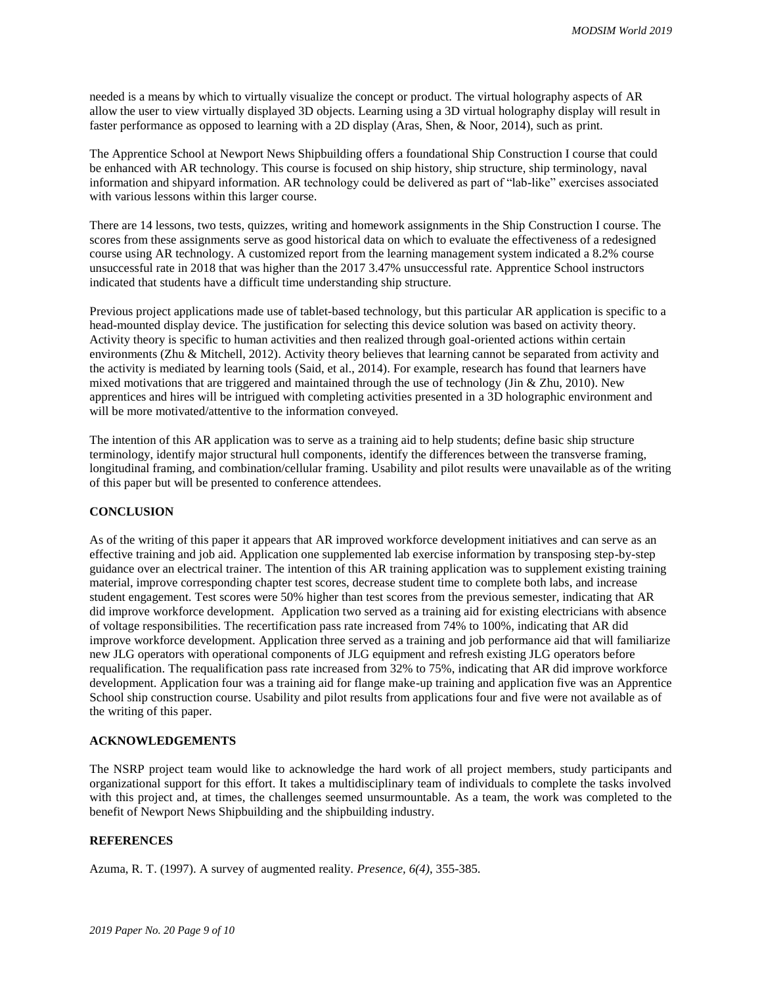needed is a means by which to virtually visualize the concept or product. The virtual holography aspects of AR allow the user to view virtually displayed 3D objects. Learning using a 3D virtual holography display will result in faster performance as opposed to learning with a 2D display (Aras, Shen, & Noor, 2014), such as print.

The Apprentice School at Newport News Shipbuilding offers a foundational Ship Construction I course that could be enhanced with AR technology. This course is focused on ship history, ship structure, ship terminology, naval information and shipyard information. AR technology could be delivered as part of "lab-like" exercises associated with various lessons within this larger course.

There are 14 lessons, two tests, quizzes, writing and homework assignments in the Ship Construction I course. The scores from these assignments serve as good historical data on which to evaluate the effectiveness of a redesigned course using AR technology. A customized report from the learning management system indicated a 8.2% course unsuccessful rate in 2018 that was higher than the 2017 3.47% unsuccessful rate. Apprentice School instructors indicated that students have a difficult time understanding ship structure.

Previous project applications made use of tablet-based technology, but this particular AR application is specific to a head-mounted display device. The justification for selecting this device solution was based on activity theory. Activity theory is specific to human activities and then realized through goal-oriented actions within certain environments (Zhu & Mitchell, 2012). Activity theory believes that learning cannot be separated from activity and the activity is mediated by learning tools (Said, et al., 2014). For example, research has found that learners have mixed motivations that are triggered and maintained through the use of technology (Jin & Zhu, 2010). New apprentices and hires will be intrigued with completing activities presented in a 3D holographic environment and will be more motivated/attentive to the information conveyed.

The intention of this AR application was to serve as a training aid to help students; define basic ship structure terminology, identify major structural hull components, identify the differences between the transverse framing, longitudinal framing, and combination/cellular framing. Usability and pilot results were unavailable as of the writing of this paper but will be presented to conference attendees.

## **CONCLUSION**

As of the writing of this paper it appears that AR improved workforce development initiatives and can serve as an effective training and job aid. Application one supplemented lab exercise information by transposing step-by-step guidance over an electrical trainer. The intention of this AR training application was to supplement existing training material, improve corresponding chapter test scores, decrease student time to complete both labs, and increase student engagement. Test scores were 50% higher than test scores from the previous semester, indicating that AR did improve workforce development. Application two served as a training aid for existing electricians with absence of voltage responsibilities. The recertification pass rate increased from 74% to 100%, indicating that AR did improve workforce development. Application three served as a training and job performance aid that will familiarize new JLG operators with operational components of JLG equipment and refresh existing JLG operators before requalification. The requalification pass rate increased from 32% to 75%, indicating that AR did improve workforce development. Application four was a training aid for flange make-up training and application five was an Apprentice School ship construction course. Usability and pilot results from applications four and five were not available as of the writing of this paper.

## **ACKNOWLEDGEMENTS**

The NSRP project team would like to acknowledge the hard work of all project members, study participants and organizational support for this effort. It takes a multidisciplinary team of individuals to complete the tasks involved with this project and, at times, the challenges seemed unsurmountable. As a team, the work was completed to the benefit of Newport News Shipbuilding and the shipbuilding industry.

## **REFERENCES**

Azuma, R. T. (1997). A survey of augmented reality. *Presence, 6(4)*, 355-385.